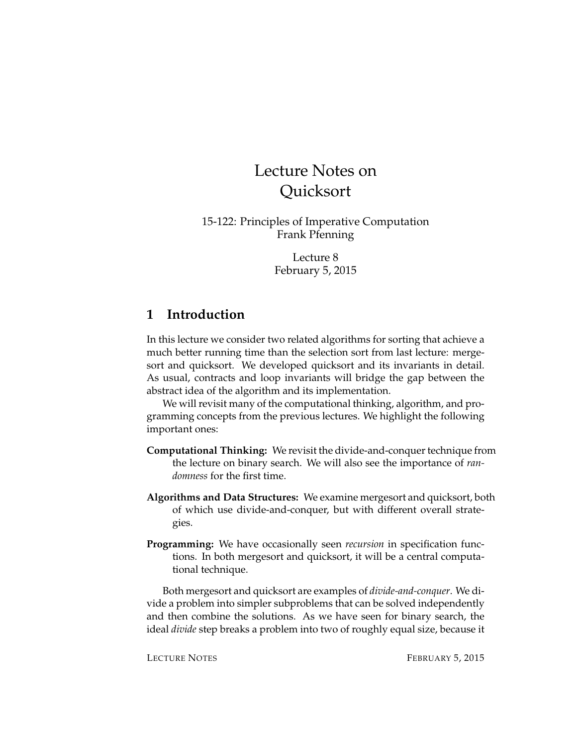# Lecture Notes on **Ouicksort**

15-122: Principles of Imperative Computation Frank Pfenning

> Lecture 8 February 5, 2015

### **1 Introduction**

In this lecture we consider two related algorithms for sorting that achieve a much better running time than the selection sort from last lecture: mergesort and quicksort. We developed quicksort and its invariants in detail. As usual, contracts and loop invariants will bridge the gap between the abstract idea of the algorithm and its implementation.

We will revisit many of the computational thinking, algorithm, and programming concepts from the previous lectures. We highlight the following important ones:

- **Computational Thinking:** We revisit the divide-and-conquer technique from the lecture on binary search. We will also see the importance of *randomness* for the first time.
- **Algorithms and Data Structures:** We examine mergesort and quicksort, both of which use divide-and-conquer, but with different overall strategies.
- **Programming:** We have occasionally seen *recursion* in specification functions. In both mergesort and quicksort, it will be a central computational technique.

Both mergesort and quicksort are examples of *divide-and-conquer*. We divide a problem into simpler subproblems that can be solved independently and then combine the solutions. As we have seen for binary search, the ideal *divide* step breaks a problem into two of roughly equal size, because it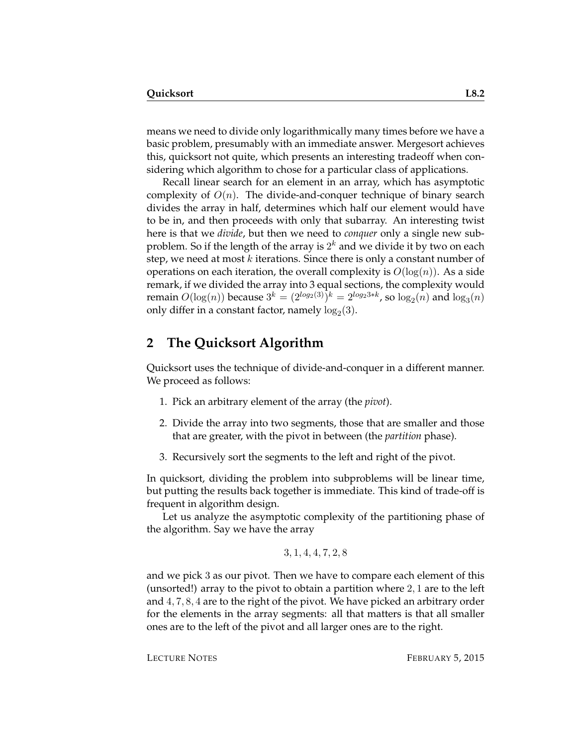means we need to divide only logarithmically many times before we have a basic problem, presumably with an immediate answer. Mergesort achieves this, quicksort not quite, which presents an interesting tradeoff when considering which algorithm to chose for a particular class of applications.

Recall linear search for an element in an array, which has asymptotic complexity of  $O(n)$ . The divide-and-conquer technique of binary search divides the array in half, determines which half our element would have to be in, and then proceeds with only that subarray. An interesting twist here is that we *divide*, but then we need to *conquer* only a single new subproblem. So if the length of the array is  $2^k$  and we divide it by two on each step, we need at most  $k$  iterations. Since there is only a constant number of operations on each iteration, the overall complexity is  $O(log(n))$ . As a side remark, if we divided the array into 3 equal sections, the complexity would remain  $O(\log(n))$  because  $3^k = (2^{log_2(3)})^k = 2^{log_23*k}$ , so  $log_2(n)$  and  $log_3(n)$ only differ in a constant factor, namely  $\log_2(3)$ .

#### **2 The Quicksort Algorithm**

Quicksort uses the technique of divide-and-conquer in a different manner. We proceed as follows:

- 1. Pick an arbitrary element of the array (the *pivot*).
- 2. Divide the array into two segments, those that are smaller and those that are greater, with the pivot in between (the *partition* phase).
- 3. Recursively sort the segments to the left and right of the pivot.

In quicksort, dividing the problem into subproblems will be linear time, but putting the results back together is immediate. This kind of trade-off is frequent in algorithm design.

Let us analyze the asymptotic complexity of the partitioning phase of the algorithm. Say we have the array

$$
3, 1, 4, 4, 7, 2, 8
$$

and we pick 3 as our pivot. Then we have to compare each element of this (unsorted!) array to the pivot to obtain a partition where 2, 1 are to the left and 4, 7, 8, 4 are to the right of the pivot. We have picked an arbitrary order for the elements in the array segments: all that matters is that all smaller ones are to the left of the pivot and all larger ones are to the right.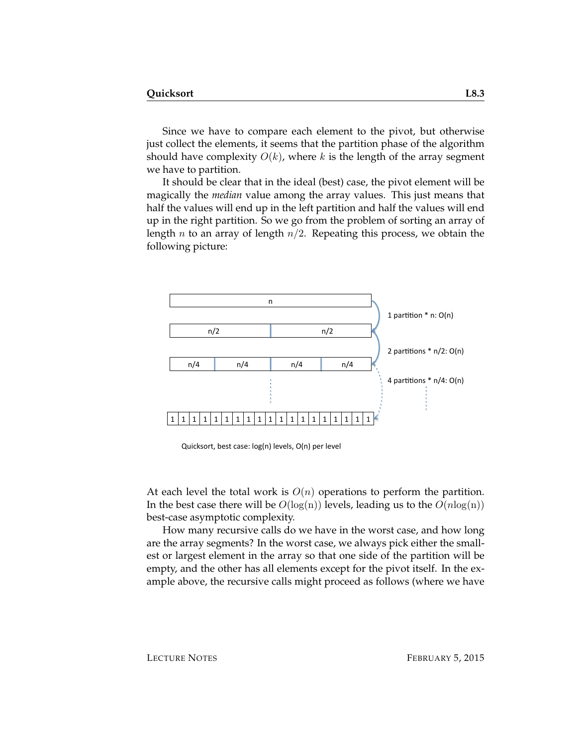Since we have to compare each element to the pivot, but otherwise just collect the elements, it seems that the partition phase of the algorithm should have complexity  $O(k)$ , where k is the length of the array segment we have to partition.

It should be clear that in the ideal (best) case, the pivot element will be magically the *median* value among the array values. This just means that half the values will end up in the left partition and half the values will end up in the right partition. So we go from the problem of sorting an array of length *n* to an array of length  $n/2$ . Repeating this process, we obtain the following picture:



Quicksort, best case: log(n) levels, O(n) per level

At each level the total work is  $O(n)$  operations to perform the partition. In the best case there will be  $O(log(n))$  levels, leading us to the  $O(n \log(n))$ best-case asymptotic complexity.

How many recursive calls do we have in the worst case, and how long are the array segments? In the worst case, we always pick either the smallest or largest element in the array so that one side of the partition will be empty, and the other has all elements except for the pivot itself. In the example above, the recursive calls might proceed as follows (where we have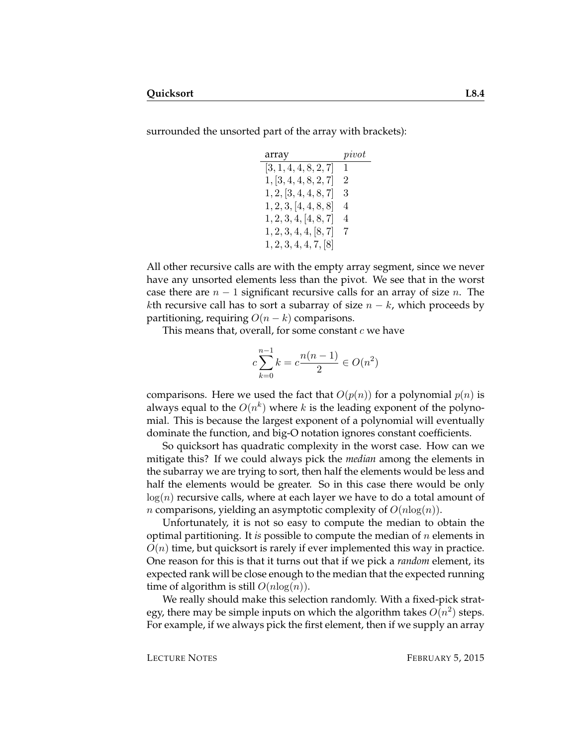surrounded the unsorted part of the array with brackets):

| array                 | pi vot         |
|-----------------------|----------------|
| [3, 1, 4, 4, 8, 2, 7] | $\mathbf{1}$   |
| 1, [3, 4, 4, 8, 2, 7] | $\overline{2}$ |
| 1, 2, 3, 4, 4, 8, 7   | 3              |
| 1, 2, 3, 4, 4, 8, 8   | 4              |
| 1, 2, 3, 4, [4, 8, 7] | 4              |
| 1, 2, 3, 4, 4, 8, 7   | 7              |
| 1, 2, 3, 4, 4, 7, 8   |                |

All other recursive calls are with the empty array segment, since we never have any unsorted elements less than the pivot. We see that in the worst case there are  $n-1$  significant recursive calls for an array of size n. The kth recursive call has to sort a subarray of size  $n - k$ , which proceeds by partitioning, requiring  $O(n-k)$  comparisons.

This means that, overall, for some constant  $c$  we have

$$
c\sum_{k=0}^{n-1} k = c\frac{n(n-1)}{2} \in O(n^2)
$$

comparisons. Here we used the fact that  $O(p(n))$  for a polynomial  $p(n)$  is always equal to the  $O(n^k)$  where  $k$  is the leading exponent of the polynomial. This is because the largest exponent of a polynomial will eventually dominate the function, and big-O notation ignores constant coefficients.

So quicksort has quadratic complexity in the worst case. How can we mitigate this? If we could always pick the *median* among the elements in the subarray we are trying to sort, then half the elements would be less and half the elements would be greater. So in this case there would be only  $log(n)$  recursive calls, where at each layer we have to do a total amount of *n* comparisons, yielding an asymptotic complexity of  $O(n \log(n))$ .

Unfortunately, it is not so easy to compute the median to obtain the optimal partitioning. It *is* possible to compute the median of n elements in  $O(n)$  time, but quicksort is rarely if ever implemented this way in practice. One reason for this is that it turns out that if we pick a *random* element, its expected rank will be close enough to the median that the expected running time of algorithm is still  $O(n \log(n))$ .

We really should make this selection randomly. With a fixed-pick strategy, there may be simple inputs on which the algorithm takes  $O(n^2)$  steps. For example, if we always pick the first element, then if we supply an array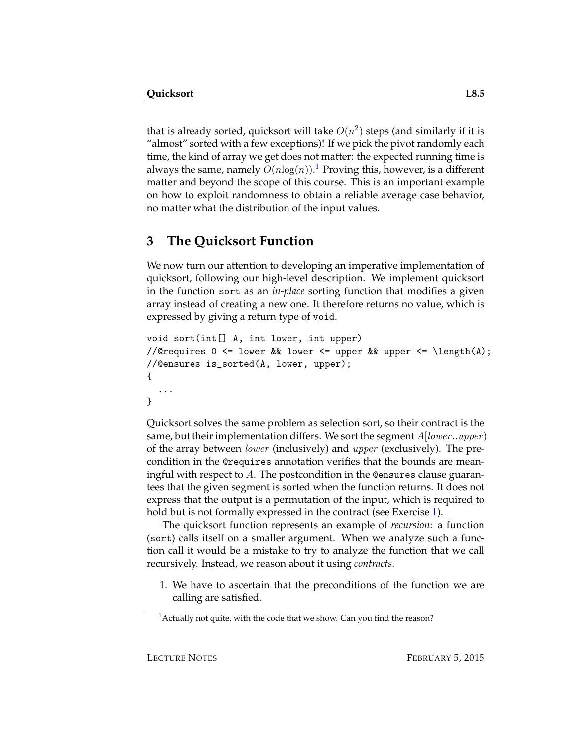that is already sorted, quicksort will take  $O(n^2)$  steps (and similarly if it is "almost" sorted with a few exceptions)! If we pick the pivot randomly each time, the kind of array we get does not matter: the expected running time is always the same, namely  $O(n \log(n)).^1$  $O(n \log(n)).^1$  Proving this, however, is a different matter and beyond the scope of this course. This is an important example on how to exploit randomness to obtain a reliable average case behavior, no matter what the distribution of the input values.

## **3 The Quicksort Function**

We now turn our attention to developing an imperative implementation of quicksort, following our high-level description. We implement quicksort in the function sort as an *in-place* sorting function that modifies a given array instead of creating a new one. It therefore returns no value, which is expressed by giving a return type of void.

```
void sort(int[] A, int lower, int upper)
//@requires 0 \leq lower && lower \leq upper && upper \leq \text{length}(A);
//@ensures is_sorted(A, lower, upper);
{
  ...
}
```
Quicksort solves the same problem as selection sort, so their contract is the same, but their implementation differs. We sort the segment  $A[lower..upper]$ of the array between lower (inclusively) and upper (exclusively). The precondition in the @requires annotation verifies that the bounds are meaningful with respect to A. The postcondition in the Consures clause guarantees that the given segment is sorted when the function returns. It does not express that the output is a permutation of the input, which is required to hold but is not formally expressed in the contract (see Exercise [1\)](#page-17-0).

The quicksort function represents an example of *recursion*: a function (sort) calls itself on a smaller argument. When we analyze such a function call it would be a mistake to try to analyze the function that we call recursively. Instead, we reason about it using *contracts*.

1. We have to ascertain that the preconditions of the function we are calling are satisfied.

<span id="page-4-0"></span> $<sup>1</sup>$  Actually not quite, with the code that we show. Can you find the reason?</sup>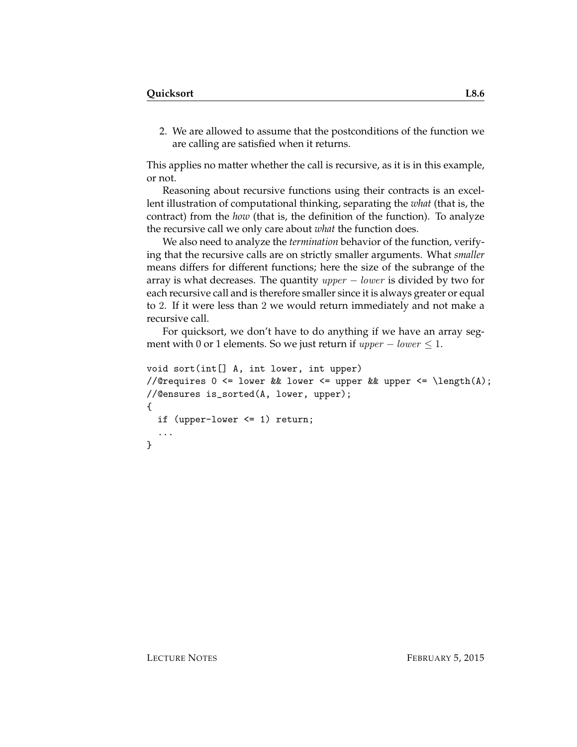2. We are allowed to assume that the postconditions of the function we are calling are satisfied when it returns.

This applies no matter whether the call is recursive, as it is in this example, or not.

Reasoning about recursive functions using their contracts is an excellent illustration of computational thinking, separating the *what* (that is, the contract) from the *how* (that is, the definition of the function). To analyze the recursive call we only care about *what* the function does.

We also need to analyze the *termination* behavior of the function, verifying that the recursive calls are on strictly smaller arguments. What *smaller* means differs for different functions; here the size of the subrange of the array is what decreases. The quantity  $upper - lower$  is divided by two for each recursive call and is therefore smaller since it is always greater or equal to 2. If it were less than 2 we would return immediately and not make a recursive call.

For quicksort, we don't have to do anything if we have an array segment with 0 or 1 elements. So we just return if  $upper - lower \leq 1$ .

```
void sort(int[] A, int lower, int upper)
//@requires 0 \leq lower && lower \leq upper && upper \leq \length(A);
//@ensures is_sorted(A, lower, upper);
{
  if (upper-lower <= 1) return;
  ...
}
```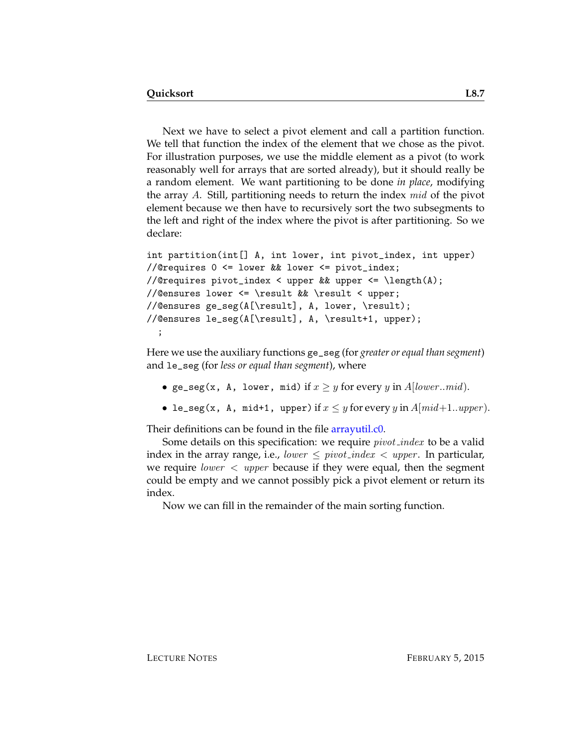Next we have to select a pivot element and call a partition function. We tell that function the index of the element that we chose as the pivot. For illustration purposes, we use the middle element as a pivot (to work reasonably well for arrays that are sorted already), but it should really be a random element. We want partitioning to be done *in place*, modifying the array A. Still, partitioning needs to return the index mid of the pivot element because we then have to recursively sort the two subsegments to the left and right of the index where the pivot is after partitioning. So we declare:

```
int partition(int[] A, int lower, int pivot_index, int upper)
//@requires 0 <= lower && lower <= pivot_index;
//@requires pivot_index < upper && upper <= \length(A);
//@ensures lower <= \result && \result < upper;
//@ensures ge_seg(A[\result], A, lower, \result);
//@ensures le_seg(A[\result], A, \result+1, upper);
  ;
```
Here we use the auxiliary functions ge\_seg (for *greater or equal than segment*) and le\_seg (for *less or equal than segment*), where

- ge\_seg(x, A, lower, mid) if  $x \geq y$  for every y in A[lower..mid].
- le\_seg(x, A, mid+1, upper) if  $x \leq y$  for every y in  $A$ [mid+1..upper].

Their definitions can be found in the file [arrayutil.c0.](http://www.cs.cmu.edu/~rjsimmon/15122-f14/lec/08-quicksort/arrayutil.c0)

Some details on this specification: we require *pivot\_index* to be a valid index in the array range, i.e., lower  $\le$  pivot index  $\lt$  upper. In particular, we require *lower*  $\langle$  *upper* because if they were equal, then the segment could be empty and we cannot possibly pick a pivot element or return its index.

Now we can fill in the remainder of the main sorting function.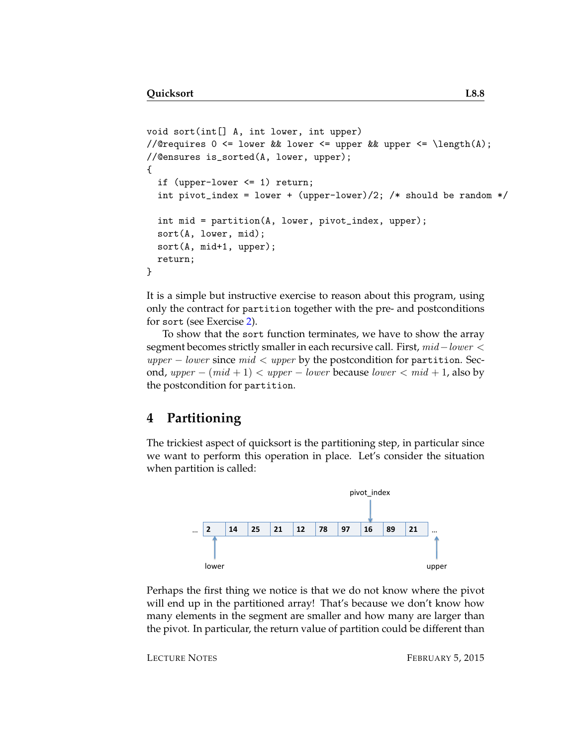```
void sort(int[] A, int lower, int upper)
//@requires 0 <= lower && lower <= upper && upper <= \length(A);
//@ensures is_sorted(A, lower, upper);
{
  if (upper-lower <= 1) return;
  int pivot_index = lower + (upper-lower)/2; /* should be random */int mid = partition(A, lower, pivot_index, upper);
  sort(A, lower, mid);
 sort(A, mid+1, upper);
  return;
}
```
It is a simple but instructive exercise to reason about this program, using only the contract for partition together with the pre- and postconditions for sort (see Exercise [2\)](#page-17-1).

To show that the sort function terminates, we have to show the array segment becomes strictly smaller in each recursive call. First, mid – lower <  $upper - lower$  since  $mid < upper$  by the postcondition for partition. Second, upper –  $(mid + 1)$  < upper – lower because lower <  $mid + 1$ , also by the postcondition for partition.

#### **4 Partitioning**

The trickiest aspect of quicksort is the partitioning step, in particular since we want to perform this operation in place. Let's consider the situation when partition is called:



Perhaps the first thing we notice is that we do not know where the pivot will end up in the partitioned array! That's because we don't know how many elements in the segment are smaller and how many are larger than the pivot. In particular, the return value of partition could be different than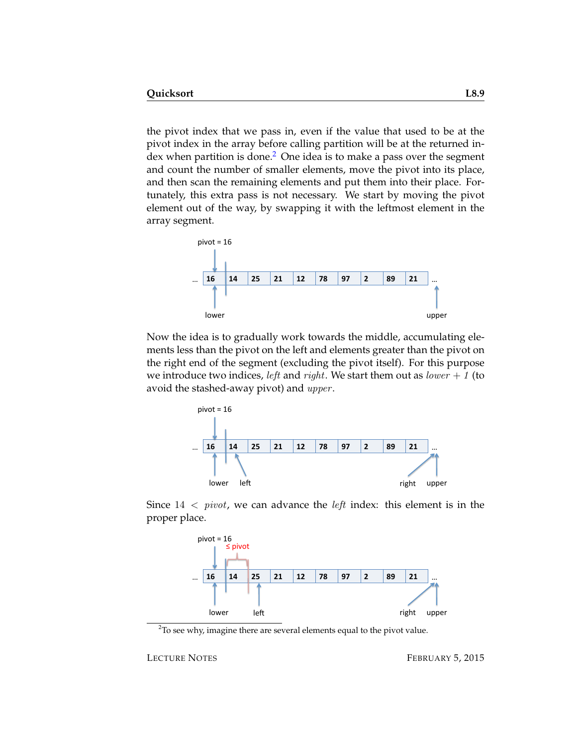the pivot index that we pass in, even if the value that used to be at the pivot index in the array before calling partition will be at the returned index when partition is done. $2$  One idea is to make a pass over the segment and count the number of smaller elements, move the pivot into its place, and then scan the remaining elements and put them into their place. Fortunately, this extra pass is not necessary. We start by moving the pivot element out of the way, by swapping it with the leftmost element in the array segment.



Now the idea is to gradually work towards the middle, accumulating elements less than the pivot on the left and elements greater than the pivot on the right end of the segment (excluding the pivot itself). For this purpose we introduce two indices, *left* and *right*. We start them out as *lower* + 1 (to avoid the stashed-away pivot) and *upper*.



Since  $14 < pivot$ , we can advance the *left* index: this element is in the proper place.



<span id="page-8-0"></span> $2$ To see why, imagine there are several elements equal to the pivot value.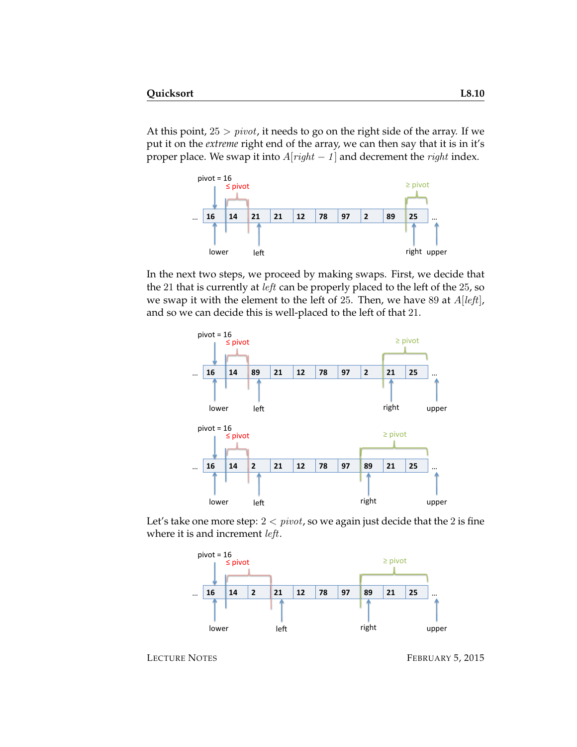At this point,  $25 > pivot$ , it needs to go on the right side of the array. If we put it on the *extreme* right end of the array, we can then say that it is in it's proper place. We swap it into  $A[right - 1]$  and decrement the *right* index.



In the next two steps, we proceed by making swaps. First, we decide that the 21 that is currently at *left* can be properly placed to the left of the 25, so we swap it with the element to the left of 25. Then, we have 89 at  $A[left]$ , and so we can decide this is well-placed to the left of that 21.



Let's take one more step:  $2 < pivot$ , so we again just decide that the 2 is fine where it is and increment *left*.



LECTURE NOTES FEBRUARY 5, 2015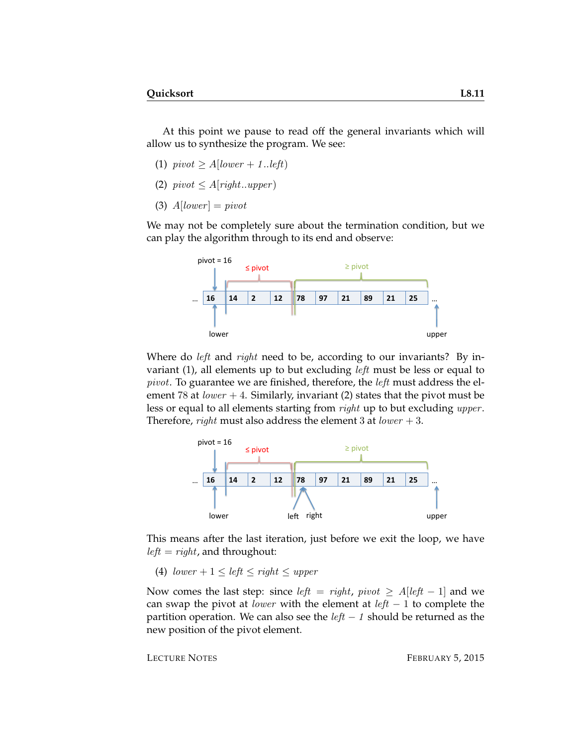At this point we pause to read off the general invariants which will allow us to synthesize the program. We see:

- (1)  $pivot \geq A[lower + 1..left]$
- (2)  $pivot \leq A[right..upper]$
- (3)  $A[lower] = pivot$

We may not be completely sure about the termination condition, but we can play the algorithm through to its end and observe:



Where do *left* and *right* need to be, according to our invariants? By invariant (1), all elements up to but excluding *left* must be less or equal to pivot. To guarantee we are finished, therefore, the left must address the element 78 at  $lower + 4$ . Similarly, invariant (2) states that the pivot must be less or equal to all elements starting from *right* up to but excluding *upper*. Therefore, *right* must also address the element 3 at *lower*  $+3$ .



This means after the last iteration, just before we exit the loop, we have  $left = right$ , and throughout:

(4)  $lower + 1 \le left \le right \le upper$ 

Now comes the last step: since *left* = right,  $pivot \geq A[\text{left} - 1]$  and we can swap the pivot at *lower* with the element at  $left - 1$  to complete the partition operation. We can also see the  $left - 1$  should be returned as the new position of the pivot element.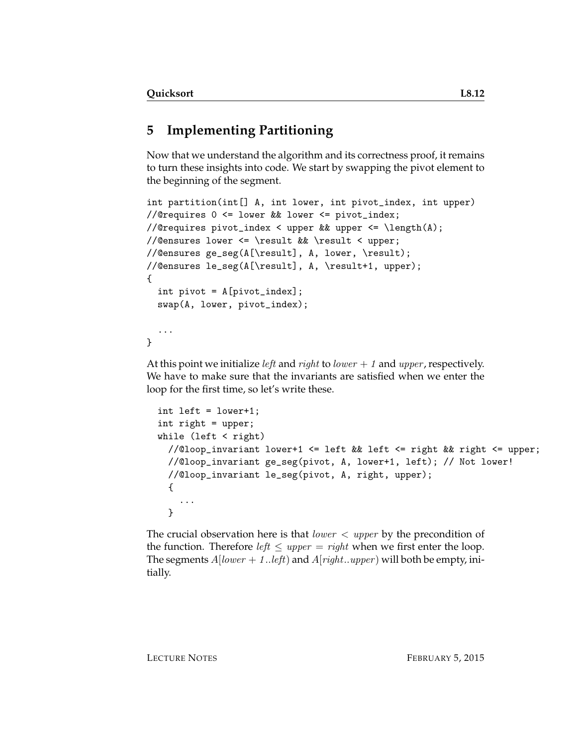# **5 Implementing Partitioning**

Now that we understand the algorithm and its correctness proof, it remains to turn these insights into code. We start by swapping the pivot element to the beginning of the segment.

```
int partition(int[] A, int lower, int pivot_index, int upper)
//@requires 0 <= lower && lower <= pivot_index;
//@requires pivot_index < upper && upper <= \length(A);
//@ensures lower <= \result && \result < upper;
//@ensures ge_seg(A[\result], A, lower, \result);
//@ensures le_seg(A[\result], A, \result+1, upper);
{
  int pivot = A[pivot_index];
  swap(A, lower, pivot_index);
  ...
}
```
At this point we initialize *left* and *right* to *lower*  $+ 1$  and *upper*, respectively. We have to make sure that the invariants are satisfied when we enter the loop for the first time, so let's write these.

```
int left = lower+1;
int right = upper;
while (left \langle right)
  //@loop_invariant lower+1 <= left && left <= right && right <= upper;
  //@loop_invariant ge_seg(pivot, A, lower+1, left); // Not lower!
  //@loop_invariant le_seg(pivot, A, right, upper);
  {
    ...
  }
```
The crucial observation here is that *lower*  $\langle$  *upper* by the precondition of the function. Therefore *left*  $\leq$  *upper* = *right* when we first enter the loop. The segments  $A[lower + 1..left]$  and  $A[right..upper)$  will both be empty, initially.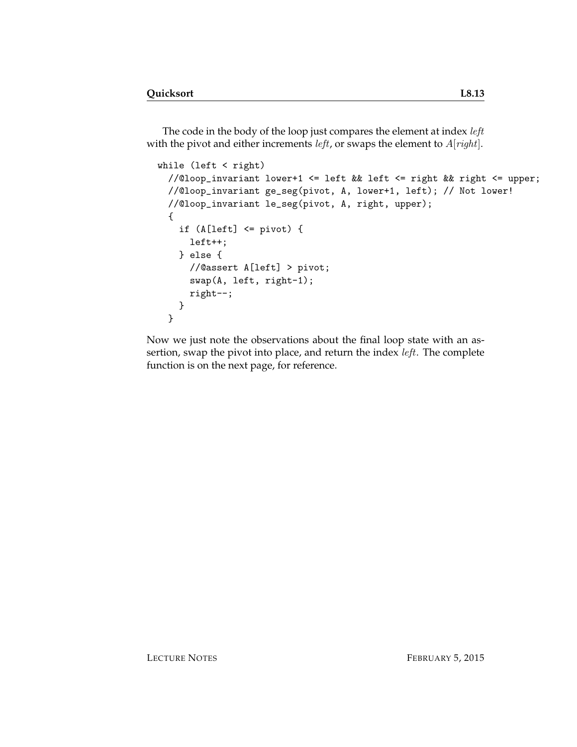The code in the body of the loop just compares the element at index left with the pivot and either increments *left*, or swaps the element to  $A[right]$ .

```
while (left < right)
 //@loop_invariant lower+1 <= left && left <= right && right <= upper;
 //@loop_invariant ge_seg(pivot, A, lower+1, left); // Not lower!
 //@loop_invariant le_seg(pivot, A, right, upper);
 {
   if (A[left] <= pivot) {
     left++;
   } else {
     //@assert A[left] > pivot;
     swap(A, left, right-1);
     right--;
   }
 }
```
Now we just note the observations about the final loop state with an assertion, swap the pivot into place, and return the index *left*. The complete function is on the next page, for reference.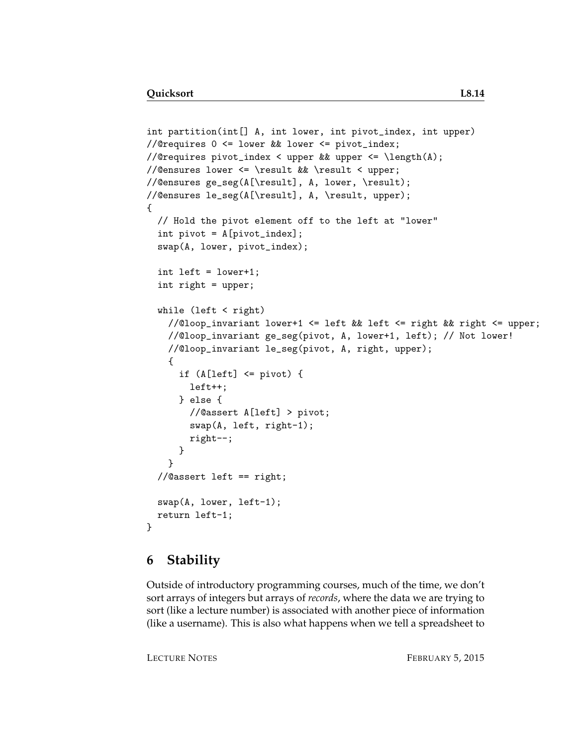```
int partition(int[] A, int lower, int pivot_index, int upper)
//@requires 0 <= lower && lower <= pivot_index;
//@requires pivot_index < upper && upper <= \length(A);
//@ensures lower <= \result && \result < upper;
//@ensures ge_seg(A[\result], A, lower, \result);
//@ensures le_seg(A[\result], A, \result, upper);
{
  // Hold the pivot element off to the left at "lower"
  int pivot = A[pivot_index];
 swap(A, lower, pivot_index);
  int left = lower+1;
  int right = upper;
  while (left < right)
   //@loop_invariant lower+1 <= left && left <= right && right <= upper;
   //@loop_invariant ge_seg(pivot, A, lower+1, left); // Not lower!
   //@loop_invariant le_seg(pivot, A, right, upper);
    {
      if (A[left] \leq pivot) {
       left++;
      } else {
        //@assert A[left] > pivot;
        swap(A, left, right-1);
       right--;
      }
    }
  //@assert left == right;
 swap(A, lower, left-1);
  return left-1;
}
```
#### **6 Stability**

Outside of introductory programming courses, much of the time, we don't sort arrays of integers but arrays of *records*, where the data we are trying to sort (like a lecture number) is associated with another piece of information (like a username). This is also what happens when we tell a spreadsheet to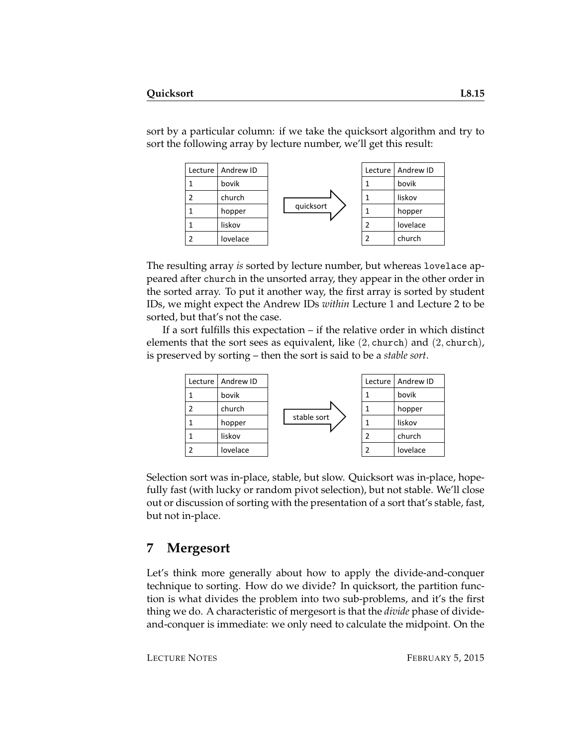sort by a particular column: if we take the quicksort algorithm and try to sort the following array by lecture number, we'll get this result:



The resulting array *is* sorted by lecture number, but whereas lovelace appeared after church in the unsorted array, they appear in the other order in the sorted array. To put it another way, the first array is sorted by student IDs, we might expect the Andrew IDs *within* Lecture 1 and Lecture 2 to be sorted, but that's not the case.

If a sort fulfills this expectation – if the relative order in which distinct elements that the sort sees as equivalent, like  $(2,$  church) and  $(2,$  church), is preserved by sorting – then the sort is said to be a *stable sort*.



Selection sort was in-place, stable, but slow. Quicksort was in-place, hopefully fast (with lucky or random pivot selection), but not stable. We'll close out or discussion of sorting with the presentation of a sort that's stable, fast, but not in-place.

#### **7 Mergesort**

Let's think more generally about how to apply the divide-and-conquer technique to sorting. How do we divide? In quicksort, the partition function is what divides the problem into two sub-problems, and it's the first thing we do. A characteristic of mergesort is that the *divide* phase of divideand-conquer is immediate: we only need to calculate the midpoint. On the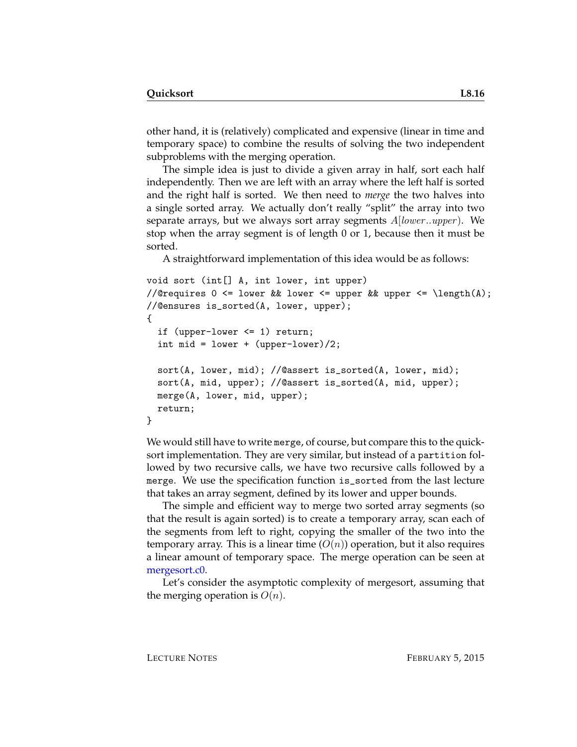other hand, it is (relatively) complicated and expensive (linear in time and temporary space) to combine the results of solving the two independent subproblems with the merging operation.

The simple idea is just to divide a given array in half, sort each half independently. Then we are left with an array where the left half is sorted and the right half is sorted. We then need to *merge* the two halves into a single sorted array. We actually don't really "split" the array into two separate arrays, but we always sort array segments  $A|lower..upper)$ . We stop when the array segment is of length 0 or 1, because then it must be sorted.

A straightforward implementation of this idea would be as follows:

```
void sort (int[] A, int lower, int upper)
//@requires 0 \leq lower && lower \leq upper && upper \leq \length(A);
//@ensures is_sorted(A, lower, upper);
{
  if (upper-lower <= 1) return;
  int mid = lower + (upper-lower)/2;
  sort(A, lower, mid); //@assert is_sorted(A, lower, mid);
  sort(A, mid, upper); //@assert is_sorted(A, mid, upper);
 merge(A, lower, mid, upper);
  return;
}
```
We would still have to write merge, of course, but compare this to the quicksort implementation. They are very similar, but instead of a partition followed by two recursive calls, we have two recursive calls followed by a merge. We use the specification function is\_sorted from the last lecture that takes an array segment, defined by its lower and upper bounds.

The simple and efficient way to merge two sorted array segments (so that the result is again sorted) is to create a temporary array, scan each of the segments from left to right, copying the smaller of the two into the temporary array. This is a linear time  $(O(n))$  operation, but it also requires a linear amount of temporary space. The merge operation can be seen at [mergesort.c0.](http://www.cs.cmu.edu/~rjsimmon/15122-f14/lec/08-quicksort/mergesort.c0)

Let's consider the asymptotic complexity of mergesort, assuming that the merging operation is  $O(n)$ .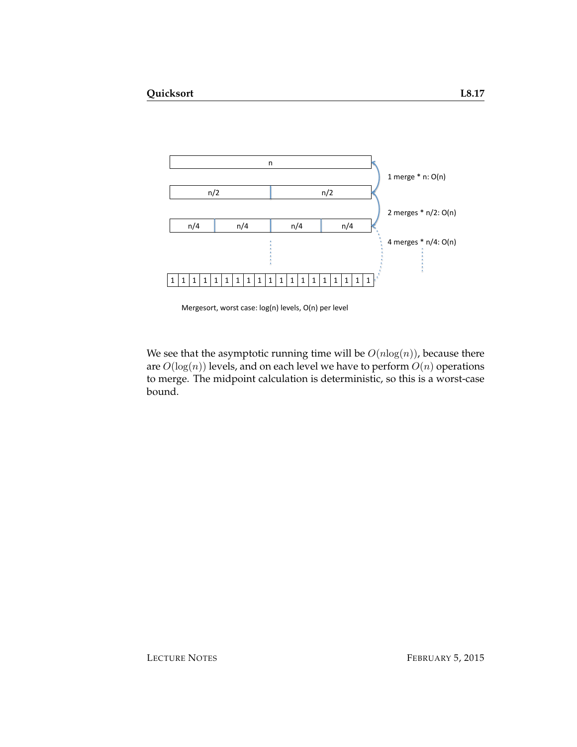

Mergesort, worst case: log(n) levels, O(n) per level

We see that the asymptotic running time will be  $O(n \log(n))$ , because there are  $O(\log(n))$  levels, and on each level we have to perform  $O(n)$  operations to merge. The midpoint calculation is deterministic, so this is a worst-case bound.